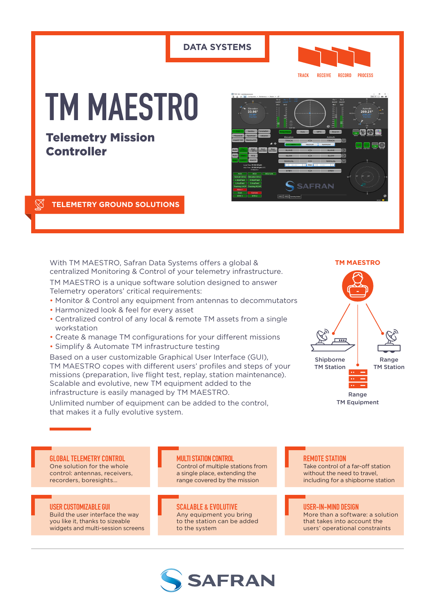# **DATA SYSTEMS TRACK RECEIVE RECORD PROCESS TM MAESTRO** Telemetry Mission Controller **SAFRAN**

### **TELEMETRY GROUND SOLUTIONS**

With TM MAESTRO, Safran Data Systems offers a global & centralized Monitoring & Control of your telemetry infrastructure.

TM MAESTRO is a unique software solution designed to answer Telemetry operators' critical requirements:

- Monitor & Control any equipment from antennas to decommutators
- Harmonized look & feel for every asset
- Centralized control of any local & remote TM assets from a single workstation
- Create & manage TM configurations for your different missions
- Simplify & Automate TM infrastructure testing

Based on a user customizable Graphical User Interface (GUI), TM MAESTRO copes with different users' profiles and steps of your missions (preparation, live flight test, replay, station maintenance). Scalable and evolutive, new TM equipment added to the infrastructure is easily managed by TM MAESTRO.

Unlimited number of equipment can be added to the control, that makes it a fully evolutive system.



**GLOBAL TELEMETRY CONTROL** One solution for the whole control: antennas, receivers, recorders, boresights…

**USER CUSTOMIZABLE GUI** Build the user interface the way you like it, thanks to sizeable widgets and multi-session screens

**MULTI STATION CONTROL** Control of multiple stations from a single place, extending the range covered by the mission

**SCALABLE & EVOLUTIVE** Any equipment you bring to the station can be added to the system

#### **REMOTE STATION** Take control of a far-off station

without the need to travel, including for a shipborne station

### **USER-IN-MIND DESIGN**

More than a software: a solution that takes into account the users' operational constraints